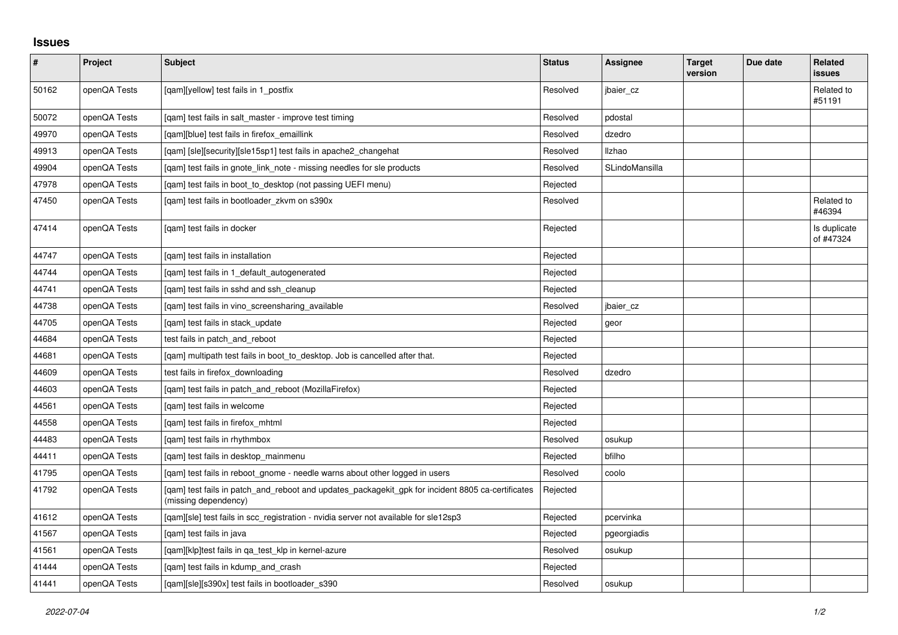## **Issues**

| $\vert$ # | Project      | Subject                                                                                                                   | <b>Status</b> | Assignee       | <b>Target</b><br>version | Due date | Related<br><b>issues</b>  |
|-----------|--------------|---------------------------------------------------------------------------------------------------------------------------|---------------|----------------|--------------------------|----------|---------------------------|
| 50162     | openQA Tests | [qam][yellow] test fails in 1_postfix                                                                                     | Resolved      | jbaier_cz      |                          |          | Related to<br>#51191      |
| 50072     | openQA Tests | [gam] test fails in salt master - improve test timing                                                                     | Resolved      | pdostal        |                          |          |                           |
| 49970     | openQA Tests | [qam][blue] test fails in firefox_emaillink                                                                               | Resolved      | dzedro         |                          |          |                           |
| 49913     | openQA Tests | [gam] [sle][security][sle15sp1] test fails in apache2 changehat                                                           | Resolved      | <b>Ilzhao</b>  |                          |          |                           |
| 49904     | openQA Tests | [qam] test fails in gnote_link_note - missing needles for sle products                                                    | Resolved      | SLindoMansilla |                          |          |                           |
| 47978     | openQA Tests | [gam] test fails in boot to desktop (not passing UEFI menu)                                                               | Rejected      |                |                          |          |                           |
| 47450     | openQA Tests | [qam] test fails in bootloader_zkvm on s390x                                                                              | Resolved      |                |                          |          | Related to<br>#46394      |
| 47414     | openQA Tests | [gam] test fails in docker                                                                                                | Rejected      |                |                          |          | Is duplicate<br>of #47324 |
| 44747     | openQA Tests | [qam] test fails in installation                                                                                          | Rejected      |                |                          |          |                           |
| 44744     | openQA Tests | [gam] test fails in 1 default autogenerated                                                                               | Rejected      |                |                          |          |                           |
| 44741     | openQA Tests | [qam] test fails in sshd and ssh_cleanup                                                                                  | Rejected      |                |                          |          |                           |
| 44738     | openQA Tests | [gam] test fails in vino screensharing available                                                                          | Resolved      | jbaier cz      |                          |          |                           |
| 44705     | openQA Tests | [gam] test fails in stack update                                                                                          | Rejected      | geor           |                          |          |                           |
| 44684     | openQA Tests | test fails in patch and reboot                                                                                            | Rejected      |                |                          |          |                           |
| 44681     | openQA Tests | [gam] multipath test fails in boot_to_desktop. Job is cancelled after that.                                               | Rejected      |                |                          |          |                           |
| 44609     | openQA Tests | test fails in firefox downloading                                                                                         | Resolved      | dzedro         |                          |          |                           |
| 44603     | openQA Tests | [gam] test fails in patch and reboot (MozillaFirefox)                                                                     | Rejected      |                |                          |          |                           |
| 44561     | openQA Tests | [qam] test fails in welcome                                                                                               | Rejected      |                |                          |          |                           |
| 44558     | openQA Tests | [gam] test fails in firefox mhtml                                                                                         | Rejected      |                |                          |          |                           |
| 44483     | openQA Tests | [qam] test fails in rhythmbox                                                                                             | Resolved      | osukup         |                          |          |                           |
| 44411     | openQA Tests | [qam] test fails in desktop_mainmenu                                                                                      | Rejected      | bfilho         |                          |          |                           |
| 41795     | openQA Tests | [gam] test fails in reboot gnome - needle warns about other logged in users                                               | Resolved      | coolo          |                          |          |                           |
| 41792     | openQA Tests | [gam] test fails in patch and reboot and updates packagekit gpk for incident 8805 ca-certificates<br>(missing dependency) | Rejected      |                |                          |          |                           |
| 41612     | openQA Tests | [qam][sle] test fails in scc_registration - nvidia server not available for sle12sp3                                      | Rejected      | pcervinka      |                          |          |                           |
| 41567     | openQA Tests | [gam] test fails in java                                                                                                  | Rejected      | pgeorgiadis    |                          |          |                           |
| 41561     | openQA Tests | [qam][klp]test fails in qa_test_klp in kernel-azure                                                                       | Resolved      | osukup         |                          |          |                           |
| 41444     | openQA Tests | [gam] test fails in kdump and crash                                                                                       | Rejected      |                |                          |          |                           |
| 41441     | openQA Tests | [qam][sle][s390x] test fails in bootloader_s390                                                                           | Resolved      | osukup         |                          |          |                           |